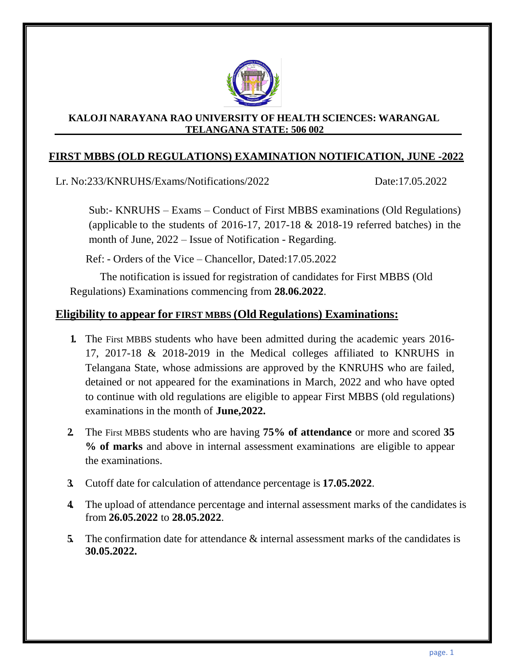

#### **KALOJI NARAYANA RAO UNIVERSITY OF HEALTH SCIENCES: WARANGAL TELANGANA STATE: 506 002**

### **FIRST MBBS (OLD REGULATIONS) EXAMINATION NOTIFICATION, JUNE -2022**

Lr. No:233/KNRUHS/Exams/Notifications/2022 Date:17.05.2022

Sub:- KNRUHS – Exams – Conduct of First MBBS examinations (Old Regulations) (applicable to the students of 2016-17, 2017-18 & 2018-19 referred batches) in the month of June, 2022 – Issue of Notification - Regarding.

Ref: - Orders of the Vice – Chancellor, Dated:17.05.2022

The notification is issued for registration of candidates for First MBBS (Old Regulations) Examinations commencing from **28.06.2022**.

# **Eligibility to appear for FIRST MBBS (Old Regulations) Examinations:**

- **1.** The First MBBS students who have been admitted during the academic years 2016- 17, 2017-18 & 2018-2019 in the Medical colleges affiliated to KNRUHS in Telangana State, whose admissions are approved by the KNRUHS who are failed, detained or not appeared for the examinations in March, 2022 and who have opted to continue with old regulations are eligible to appear First MBBS (old regulations) examinations in the month of **June,2022.**
- **2.** The First MBBS students who are having **75% of attendance** or more and scored **35 % of marks** and above in internal assessment examinations are eligible to appear the examinations.
- **3.** Cutoff date for calculation of attendance percentage is **17.05.2022**.
- **4.** The upload of attendance percentage and internal assessment marks of the candidates is from **26.05.2022** to **28.05.2022**.
- **5.** The confirmation date for attendance & internal assessment marks of the candidates is **30.05.2022.**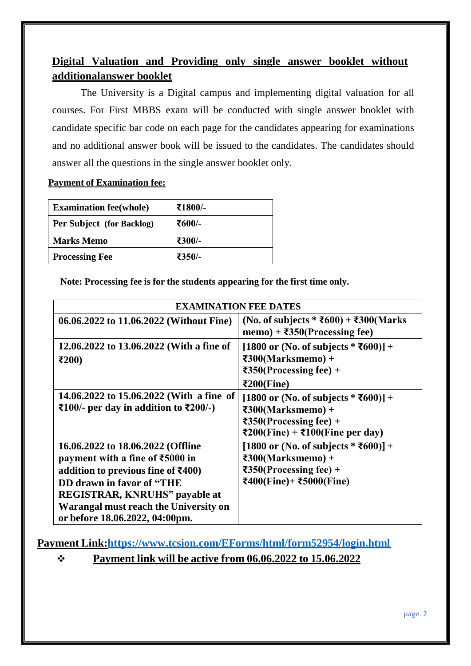# **Digital Valuation and Providing only single answer booklet without additionalanswer booklet**

The University is a Digital campus and implementing digital valuation for all courses. For First MBBS exam will be conducted with single answer booklet with candidate specific bar code on each page for the candidates appearing for examinations and no additional answer book will be issued to the candidates. The candidates should answer all the questions in the single answer booklet only.

### **Payment of Examination fee:**

| <b>Examination fee (whole)</b> | ₹1800/- |
|--------------------------------|---------|
| Per Subject (for Backlog)      | ₹600⁄-  |
| <b>Marks Memo</b>              | ₹300/-  |
| <b>Processing Fee</b>          | ₹350/-  |

**Note: Processing fee is for the students appearing for the first time only.**

| <b>EXAMINATION FEE DATES</b>                                                                                                                                                                                                                                                                                 |                                                                                                                                                                           |  |  |
|--------------------------------------------------------------------------------------------------------------------------------------------------------------------------------------------------------------------------------------------------------------------------------------------------------------|---------------------------------------------------------------------------------------------------------------------------------------------------------------------------|--|--|
| 06.06.2022 to 11.06.2022 (Without Fine)                                                                                                                                                                                                                                                                      | (No. of subjects * ₹600) + ₹300(Marks<br>memo) + $\overline{3}350$ (Processing fee)                                                                                       |  |  |
| 12.06.2022 to 13.06.2022 (With a fine of<br>$\epsilon$ 200)                                                                                                                                                                                                                                                  | [1800 or (No. of subjects $*$ ₹600)] +<br>$\textbf{F300}$ (Marksmemo) +<br>$\overline{350}$ (Processing fee) +<br>$\epsilon$ 200(Fine)                                    |  |  |
| 14.06.2022 to 15.06.2022 (With a fine of<br>₹100/- per day in addition to $\overline{\text{E}}200$ /-)                                                                                                                                                                                                       | [1800 or (No. of subjects $* \overline{5600}] +$<br>$\epsilon$ 300(Marksmemo) +<br>$\overline{\text{350}}$ (Processing fee) +<br>₹200(Fine) + ₹100(Fine per day)          |  |  |
| 16.06.2022 to 18.06.2022 (Offline<br>payment with a fine of $\text{\textsterling}5000$ in<br>addition to previous fine of $\text{\textsterling}400$ )<br><b>DD</b> drawn in favor of "THE<br><b>REGISTRAR, KNRUHS"</b> payable at<br>Warangal must reach the University on<br>or before 18.06.2022, 04:00pm. | [1800 or (No. of subjects $* \overline{5600}] +$<br>$\epsilon$ 300(Marksmemo) +<br>$\overline{\text{350}}$ (Processing fee) +<br>$\text{F400(Fine)} + \text{F5000(Fine)}$ |  |  |

**Payment Link[:https://www.tcsion.com/EForms/html/form52954/login.html](https://www.tcsion.com/EForms/html/form52954/login.html)**

## ❖ **Payment link will be active from 06.06.2022 to 15.06.2022**